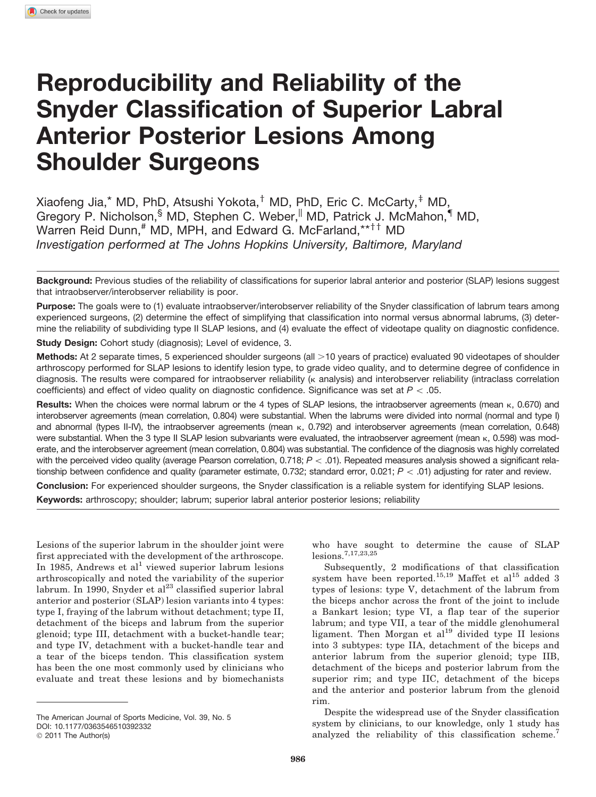# Reproducibility and Reliability of the Snyder Classification of Superior Labral Anterior Posterior Lesions Among Shoulder Surgeons

Xiaofeng Jia,\* MD, PhD, Atsushi Yokota, $^{\dagger}$  MD, PhD, Eric C. McCarty, $^{\dagger}$  MD, Gregory P. Nicholson, <sup>§</sup> MD, Stephen C. Weber, MD, Patrick J. McMahon, MD, Warren Reid Dunn,<sup>#</sup> MD, MPH, and Edward G. McFarland,\*\*<sup>††</sup> MD *Investigation performed at The Johns Hopkins University, Baltimore, Maryland*

Background: Previous studies of the reliability of classifications for superior labral anterior and posterior (SLAP) lesions suggest that intraobserver/interobserver reliability is poor.

Purpose: The goals were to (1) evaluate intraobserver/interobserver reliability of the Snyder classification of labrum tears among experienced surgeons, (2) determine the effect of simplifying that classification into normal versus abnormal labrums, (3) determine the reliability of subdividing type II SLAP lesions, and (4) evaluate the effect of videotape quality on diagnostic confidence.

Study Design: Cohort study (diagnosis); Level of evidence, 3.

Methods: At 2 separate times, 5 experienced shoulder surgeons (all >10 years of practice) evaluated 90 videotapes of shoulder arthroscopy performed for SLAP lesions to identify lesion type, to grade video quality, and to determine degree of confidence in diagnosis. The results were compared for intraobserver reliability (k analysis) and interobserver reliability (intraclass correlation coefficients) and effect of video quality on diagnostic confidence. Significance was set at *P* \ .05.

Results: When the choices were normal labrum or the 4 types of SLAP lesions, the intraobserver agreements (mean  $\kappa$ , 0.670) and interobserver agreements (mean correlation, 0.804) were substantial. When the labrums were divided into normal (normal and type I) and abnormal (types II-IV), the intraobserver agreements (mean  $\kappa$ , 0.792) and interobserver agreements (mean correlation, 0.648) were substantial. When the 3 type II SLAP lesion subvariants were evaluated, the intraobserver agreement (mean k, 0.598) was moderate, and the interobserver agreement (mean correlation, 0.804) was substantial. The confidence of the diagnosis was highly correlated with the perceived video quality (average Pearson correlation, 0.718;  $P < .01$ ). Repeated measures analysis showed a significant relationship between confidence and quality (parameter estimate, 0.732; standard error, 0.021;  $P < .01$ ) adjusting for rater and review.

Conclusion: For experienced shoulder surgeons, the Snyder classification is a reliable system for identifying SLAP lesions.

Keywords: arthroscopy; shoulder; labrum; superior labral anterior posterior lesions; reliability

Lesions of the superior labrum in the shoulder joint were first appreciated with the development of the arthroscope. In 1985, Andrews et al<sup>1</sup> viewed superior labrum lesions arthroscopically and noted the variability of the superior labrum. In 1990, Snyder et al<sup>23</sup> classified superior labral anterior and posterior (SLAP) lesion variants into 4 types: type I, fraying of the labrum without detachment; type II, detachment of the biceps and labrum from the superior glenoid; type III, detachment with a bucket-handle tear; and type IV, detachment with a bucket-handle tear and a tear of the biceps tendon. This classification system has been the one most commonly used by clinicians who evaluate and treat these lesions and by biomechanists

who have sought to determine the cause of SLAP lesions.<sup>7,17,23,25</sup>

Subsequently, 2 modifications of that classification system have been reported.<sup>15,19</sup> Maffet et al<sup>15</sup> added 3 types of lesions: type V, detachment of the labrum from the biceps anchor across the front of the joint to include a Bankart lesion; type VI, a flap tear of the superior labrum; and type VII, a tear of the middle glenohumeral ligament. Then Morgan et  $al<sup>19</sup>$  divided type II lesions into 3 subtypes: type IIA, detachment of the biceps and anterior labrum from the superior glenoid; type IIB, detachment of the biceps and posterior labrum from the superior rim; and type IIC, detachment of the biceps and the anterior and posterior labrum from the glenoid rim.

Despite the widespread use of the Snyder classification system by clinicians, to our knowledge, only 1 study has analyzed the reliability of this classification scheme.<sup>7</sup>

The American Journal of Sports Medicine, Vol. 39, No. 5 DOI: 10.1177/0363546510392332

<sup>© 2011</sup> The Author(s)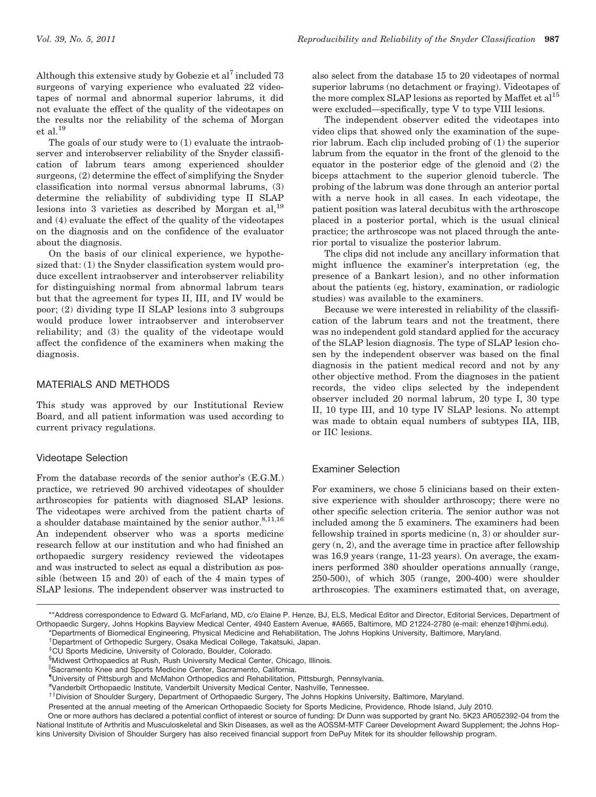Although this extensive study by Gobezie et al<sup>7</sup> included  $73$ surgeons of varying experience who evaluated 22 videotapes of normal and abnormal superior labrums, it did not evaluate the effect of the quality of the videotapes on the results nor the reliability of the schema of Morgan et al. $19$ 

The goals of our study were to (1) evaluate the intraobserver and interobserver reliability of the Snyder classification of labrum tears among experienced shoulder surgeons, (2) determine the effect of simplifying the Snyder classification into normal versus abnormal labrums, (3) determine the reliability of subdividing type II SLAP lesions into 3 varieties as described by Morgan et al,<sup>19</sup> and (4) evaluate the effect of the quality of the videotapes on the diagnosis and on the confidence of the evaluator about the diagnosis.

On the basis of our clinical experience, we hypothesized that: (1) the Snyder classification system would produce excellent intraobserver and interobserver reliability for distinguishing normal from abnormal labrum tears but that the agreement for types II, III, and IV would be poor; (2) dividing type II SLAP lesions into 3 subgroups would produce lower intraobserver and interobserver reliability; and (3) the quality of the videotape would affect the confidence of the examiners when making the diagnosis.

## MATERIALS AND METHODS

This study was approved by our Institutional Review Board, and all patient information was used according to current privacy regulations.

#### Videotape Selection

From the database records of the senior author's (E.G.M.) practice, we retrieved 90 archived videotapes of shoulder arthroscopies for patients with diagnosed SLAP lesions. The videotapes were archived from the patient charts of a shoulder database maintained by the senior author.<sup>8,11,16</sup> An independent observer who was a sports medicine research fellow at our institution and who had finished an orthopaedic surgery residency reviewed the videotapes and was instructed to select as equal a distribution as possible (between 15 and 20) of each of the 4 main types of SLAP lesions. The independent observer was instructed to

also select from the database 15 to 20 videotapes of normal superior labrums (no detachment or fraying). Videotapes of the more complex SLAP lesions as reported by Maffet et  $al<sup>15</sup>$ were excluded—specifically, type V to type VIII lesions.

The independent observer edited the videotapes into video clips that showed only the examination of the superior labrum. Each clip included probing of (1) the superior labrum from the equator in the front of the glenoid to the equator in the posterior edge of the glenoid and (2) the biceps attachment to the superior glenoid tubercle. The probing of the labrum was done through an anterior portal with a nerve hook in all cases. In each videotape, the patient position was lateral decubitus with the arthroscope placed in a posterior portal, which is the usual clinical practice; the arthroscope was not placed through the anterior portal to visualize the posterior labrum.

The clips did not include any ancillary information that might influence the examiner's interpretation (eg, the presence of a Bankart lesion), and no other information about the patients (eg, history, examination, or radiologic studies) was available to the examiners.

Because we were interested in reliability of the classification of the labrum tears and not the treatment, there was no independent gold standard applied for the accuracy of the SLAP lesion diagnosis. The type of SLAP lesion chosen by the independent observer was based on the final diagnosis in the patient medical record and not by any other objective method. From the diagnoses in the patient records, the video clips selected by the independent observer included 20 normal labrum, 20 type I, 30 type II, 10 type III, and 10 type IV SLAP lesions. No attempt was made to obtain equal numbers of subtypes IIA, IIB, or IIC lesions.

## Examiner Selection

For examiners, we chose 5 clinicians based on their extensive experience with shoulder arthroscopy; there were no other specific selection criteria. The senior author was not included among the 5 examiners. The examiners had been fellowship trained in sports medicine (n, 3) or shoulder surgery (n, 2), and the average time in practice after fellowship was 16.9 years (range, 11-23 years). On average, the examiners performed 380 shoulder operations annually (range, 250-500), of which 305 (range, 200-400) were shoulder arthroscopies. The examiners estimated that, on average,

\*\*Address correspondence to Edward G. McFarland, MD, c/o Elaine P. Henze, BJ, ELS, Medical Editor and Director, Editorial Services, Department of Orthopaedic Surgery, Johns Hopkins Bayview Medical Center, 4940 Eastern Avenue, #A665, Baltimore, MD 21224-2780 (e-mail: ehenze1@jhmi.edu).

\*Departments of Biomedical Engineering, Physical Medicine and Rehabilitation, The Johns Hopkins University, Baltimore, Maryland.

<sup>†</sup>Department of Orthopedic Surgery, Osaka Medical College, Takatsuki, Japan.

<sup>‡</sup>CU Sports Medicine, University of Colorado, Boulder, Colorado.

<sup>§</sup> Midwest Orthopaedics at Rush, Rush University Medical Center, Chicago, Illinois.

<sup>||</sup>Sacramento Knee and Sports Medicine Center, Sacramento, California.

<sup>{</sup> University of Pittsburgh and McMahon Orthopedics and Rehabilitation, Pittsburgh, Pennsylvania.

<sup>#</sup> Vanderbilt Orthopaedic Institute, Vanderbilt University Medical Center, Nashville, Tennessee.

<sup>&</sup>lt;sup>††</sup>Division of Shoulder Surgery, Department of Orthopaedic Surgery, The Johns Hopkins University, Baltimore, Maryland.

Presented at the annual meeting of the American Orthopaedic Society for Sports Medicine, Providence, Rhode Island, July 2010.

One or more authors has declared a potential conflict of interest or source of funding: Dr Dunn was supported by grant No. 5K23 AR052392-04 from the National Institute of Arthritis and Musculoskeletal and Skin Diseases, as well as the AOSSM-MTF Career Development Award Supplement; the Johns Hopkins University Division of Shoulder Surgery has also received financial support from DePuy Mitek for its shoulder fellowship program.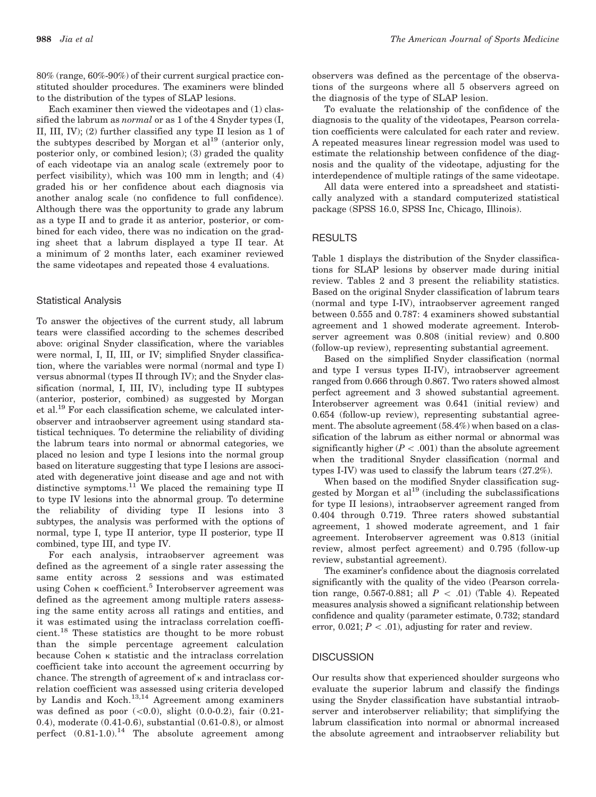80% (range, 60%-90%) of their current surgical practice constituted shoulder procedures. The examiners were blinded to the distribution of the types of SLAP lesions.

Each examiner then viewed the videotapes and (1) classified the labrum as normal or as 1 of the 4 Snyder types (I, II, III, IV); (2) further classified any type II lesion as 1 of the subtypes described by Morgan et  $al^{19}$  (anterior only, posterior only, or combined lesion); (3) graded the quality of each videotape via an analog scale (extremely poor to perfect visibility), which was 100 mm in length; and (4) graded his or her confidence about each diagnosis via another analog scale (no confidence to full confidence). Although there was the opportunity to grade any labrum as a type II and to grade it as anterior, posterior, or combined for each video, there was no indication on the grading sheet that a labrum displayed a type II tear. At a minimum of 2 months later, each examiner reviewed the same videotapes and repeated those 4 evaluations.

#### Statistical Analysis

To answer the objectives of the current study, all labrum tears were classified according to the schemes described above: original Snyder classification, where the variables were normal, I, II, III, or IV; simplified Snyder classification, where the variables were normal (normal and type I) versus abnormal (types II through IV); and the Snyder classification (normal, I, III, IV), including type II subtypes (anterior, posterior, combined) as suggested by Morgan et al.19 For each classification scheme, we calculated interobserver and intraobserver agreement using standard statistical techniques. To determine the reliability of dividing the labrum tears into normal or abnormal categories, we placed no lesion and type I lesions into the normal group based on literature suggesting that type I lesions are associated with degenerative joint disease and age and not with distinctive symptoms.<sup>11</sup> We placed the remaining type II to type IV lesions into the abnormal group. To determine the reliability of dividing type II lesions into 3 subtypes, the analysis was performed with the options of normal, type I, type II anterior, type II posterior, type II combined, type III, and type IV.

For each analysis, intraobserver agreement was defined as the agreement of a single rater assessing the same entity across 2 sessions and was estimated using Cohen  $\kappa$  coefficient.<sup>5</sup> Interobserver agreement was defined as the agreement among multiple raters assessing the same entity across all ratings and entities, and it was estimated using the intraclass correlation coefficient.<sup>18</sup> These statistics are thought to be more robust than the simple percentage agreement calculation because Cohen k statistic and the intraclass correlation coefficient take into account the agreement occurring by chance. The strength of agreement of  $\kappa$  and intraclass correlation coefficient was assessed using criteria developed by Landis and Koch.<sup>13,14</sup> Agreement among examiners was defined as poor  $(<0.0)$ , slight  $(0.0-0.2)$ , fair  $(0.21-$ 0.4), moderate (0.41-0.6), substantial (0.61-0.8), or almost perfect  $(0.81-1.0).<sup>14</sup>$  The absolute agreement among

observers was defined as the percentage of the observations of the surgeons where all 5 observers agreed on the diagnosis of the type of SLAP lesion.

To evaluate the relationship of the confidence of the diagnosis to the quality of the videotapes, Pearson correlation coefficients were calculated for each rater and review. A repeated measures linear regression model was used to estimate the relationship between confidence of the diagnosis and the quality of the videotape, adjusting for the interdependence of multiple ratings of the same videotape.

All data were entered into a spreadsheet and statistically analyzed with a standard computerized statistical package (SPSS 16.0, SPSS Inc, Chicago, Illinois).

### RESULTS

Table 1 displays the distribution of the Snyder classifications for SLAP lesions by observer made during initial review. Tables 2 and 3 present the reliability statistics. Based on the original Snyder classification of labrum tears (normal and type I-IV), intraobserver agreement ranged between 0.555 and 0.787: 4 examiners showed substantial agreement and 1 showed moderate agreement. Interobserver agreement was 0.808 (initial review) and 0.800 (follow-up review), representing substantial agreement.

Based on the simplified Snyder classification (normal and type I versus types II-IV), intraobserver agreement ranged from 0.666 through 0.867. Two raters showed almost perfect agreement and 3 showed substantial agreement. Interobserver agreement was 0.641 (initial review) and 0.654 (follow-up review), representing substantial agreement. The absolute agreement (58.4%) when based on a classification of the labrum as either normal or abnormal was significantly higher  $(P < .001)$  than the absolute agreement when the traditional Snyder classification (normal and types I-IV) was used to classify the labrum tears (27.2%).

When based on the modified Snyder classification suggested by Morgan et  $al<sup>19</sup>$  (including the subclassifications for type II lesions), intraobserver agreement ranged from 0.404 through 0.719. Three raters showed substantial agreement, 1 showed moderate agreement, and 1 fair agreement. Interobserver agreement was 0.813 (initial review, almost perfect agreement) and 0.795 (follow-up review, substantial agreement).

The examiner's confidence about the diagnosis correlated significantly with the quality of the video (Pearson correlation range, 0.567-0.881; all  $P \, < .01$ ) (Table 4). Repeated measures analysis showed a significant relationship between confidence and quality (parameter estimate, 0.732; standard error,  $0.021$ ;  $P < .01$ ), adjusting for rater and review.

#### **DISCUSSION**

Our results show that experienced shoulder surgeons who evaluate the superior labrum and classify the findings using the Snyder classification have substantial intraobserver and interobserver reliability; that simplifying the labrum classification into normal or abnormal increased the absolute agreement and intraobserver reliability but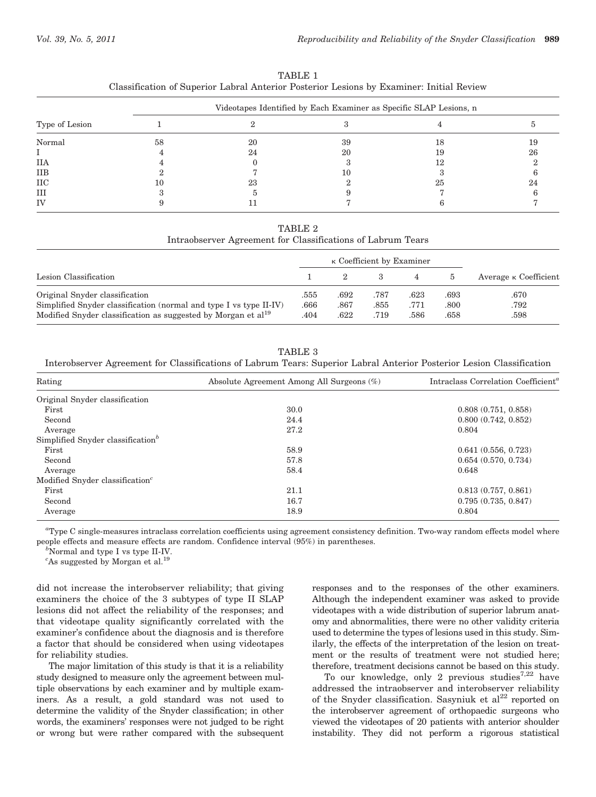| Type of Lesion |    | Videotapes Identified by Each Examiner as Specific SLAP Lesions, n |    |     |    |  |  |  |
|----------------|----|--------------------------------------------------------------------|----|-----|----|--|--|--|
|                |    |                                                                    |    |     |    |  |  |  |
| Normal         | 58 | 20                                                                 | 39 | l8  |    |  |  |  |
|                |    | 24                                                                 | 20 | 19  | 26 |  |  |  |
| IIA            |    |                                                                    |    | ၊ ၇ |    |  |  |  |
| IIB            |    |                                                                    |    |     |    |  |  |  |
| <b>IIC</b>     |    | 23                                                                 |    | 25  |    |  |  |  |
| Ш              |    |                                                                    |    |     |    |  |  |  |
| IV             |    |                                                                    |    |     |    |  |  |  |

TABLE 1 Classification of Superior Labral Anterior Posterior Lesions by Examiner: Initial Review

TABLE 2

Intraobserver Agreement for Classifications of Labrum Tears

|                                                                                                                                                                                   | κ Coefficient by Examiner |                      |                      |                      |                      |                              |
|-----------------------------------------------------------------------------------------------------------------------------------------------------------------------------------|---------------------------|----------------------|----------------------|----------------------|----------------------|------------------------------|
| Lesion Classification                                                                                                                                                             |                           |                      |                      |                      |                      | Average $\kappa$ Coefficient |
| Original Snyder classification<br>Simplified Snyder classification (normal and type I vs type II-IV)<br>Modified Snyder classification as suggested by Morgan et al <sup>19</sup> | .555<br>.666<br>.404      | .692<br>.867<br>.622 | .787<br>.855<br>.719 | .623<br>.771<br>.586 | .693<br>.800<br>.658 | .670<br>.792<br>.598         |

TABLE 3

Interobserver Agreement for Classifications of Labrum Tears: Superior Labral Anterior Posterior Lesion Classification

| Rating                                        | Absolute Agreement Among All Surgeons (%) | Intraclass Correlation Coefficient <sup>a</sup> |  |
|-----------------------------------------------|-------------------------------------------|-------------------------------------------------|--|
| Original Snyder classification                |                                           |                                                 |  |
| First                                         | 30.0                                      | 0.808(0.751, 0.858)                             |  |
| Second                                        | 24.4                                      | 0.800(0.742, 0.852)                             |  |
| Average                                       | 27.2                                      | 0.804                                           |  |
| Simplified Snyder classification <sup>b</sup> |                                           |                                                 |  |
| First                                         | 58.9                                      | 0.641(0.556, 0.723)                             |  |
| Second                                        | 57.8                                      | 0.654(0.570, 0.734)                             |  |
| Average                                       | 58.4                                      | 0.648                                           |  |
| Modified Snyder classification <sup>c</sup>   |                                           |                                                 |  |
| First                                         | 21.1                                      | 0.813(0.757, 0.861)                             |  |
| Second                                        | 16.7                                      | 0.795(0.735, 0.847)                             |  |
| Average                                       | 18.9                                      | 0.804                                           |  |

a Type C single-measures intraclass correlation coefficients using agreement consistency definition. Two-way random effects model where people effects and measure effects are random. Confidence interval (95%) in parentheses. <sup>b</sup>

 $b$ Normal and type I vs type II-IV.

 $^c$ As suggested by Morgan et al.<sup>19</sup>

did not increase the interobserver reliability; that giving examiners the choice of the 3 subtypes of type II SLAP lesions did not affect the reliability of the responses; and that videotape quality significantly correlated with the examiner's confidence about the diagnosis and is therefore a factor that should be considered when using videotapes for reliability studies.

The major limitation of this study is that it is a reliability study designed to measure only the agreement between multiple observations by each examiner and by multiple examiners. As a result, a gold standard was not used to determine the validity of the Snyder classification; in other words, the examiners' responses were not judged to be right or wrong but were rather compared with the subsequent responses and to the responses of the other examiners. Although the independent examiner was asked to provide videotapes with a wide distribution of superior labrum anatomy and abnormalities, there were no other validity criteria used to determine the types of lesions used in this study. Similarly, the effects of the interpretation of the lesion on treatment or the results of treatment were not studied here; therefore, treatment decisions cannot be based on this study.

To our knowledge, only 2 previous studies<sup>7,22</sup> have addressed the intraobserver and interobserver reliability of the Snyder classification. Sasyniuk et  $al^{22}$  reported on the interobserver agreement of orthopaedic surgeons who viewed the videotapes of 20 patients with anterior shoulder instability. They did not perform a rigorous statistical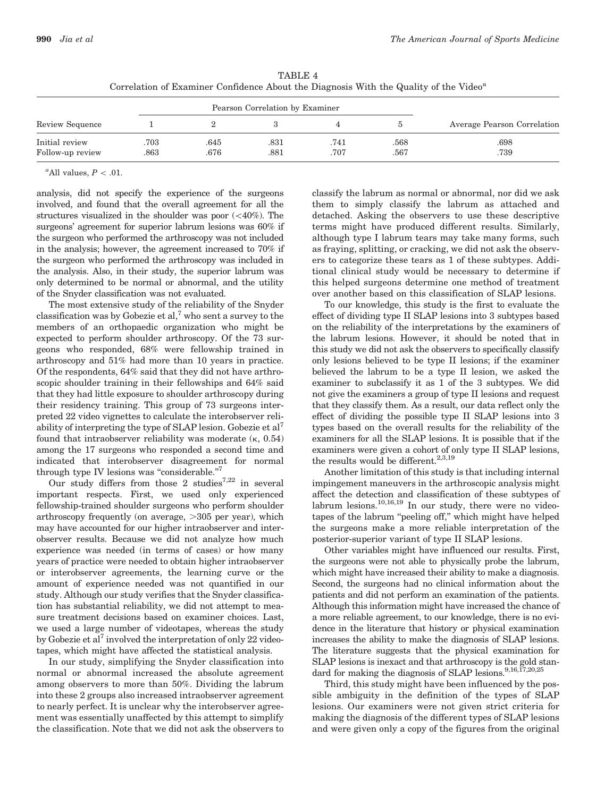TABLE 4 Correlation of Examiner Confidence About the Diagnosis With the Quality of the Video<sup>a</sup>

|                  |      | Pearson Correlation by Examiner |      |      |      |                             |
|------------------|------|---------------------------------|------|------|------|-----------------------------|
| Review Sequence  |      |                                 |      |      |      | Average Pearson Correlation |
| Initial review   | .703 | .645                            | .831 | .741 | .568 | .698                        |
| Follow-up review | .863 | .676                            | .881 | .707 | .567 | .739                        |

<sup>a</sup>All values,  $P < .01$ .

analysis, did not specify the experience of the surgeons involved, and found that the overall agreement for all the structures visualized in the shoulder was poor  $(\leq 40\%)$ . The surgeons' agreement for superior labrum lesions was 60% if the surgeon who performed the arthroscopy was not included in the analysis; however, the agreement increased to 70% if the surgeon who performed the arthroscopy was included in the analysis. Also, in their study, the superior labrum was only determined to be normal or abnormal, and the utility of the Snyder classification was not evaluated.

The most extensive study of the reliability of the Snyder classification was by Gobezie et al,<sup>7</sup> who sent a survey to the members of an orthopaedic organization who might be expected to perform shoulder arthroscopy. Of the 73 surgeons who responded, 68% were fellowship trained in arthroscopy and 51% had more than 10 years in practice. Of the respondents, 64% said that they did not have arthroscopic shoulder training in their fellowships and 64% said that they had little exposure to shoulder arthroscopy during their residency training. This group of 73 surgeons interpreted 22 video vignettes to calculate the interobserver reliability of interpreting the type of SLAP lesion. Gobezie et al<sup>7</sup> found that intraobserver reliability was moderate  $(\kappa, 0.54)$ among the 17 surgeons who responded a second time and indicated that interobserver disagreement for normal through type IV lesions was "considerable."<sup>7</sup>

Our study differs from those 2 studies<sup>7,22</sup> in several important respects. First, we used only experienced fellowship-trained shoulder surgeons who perform shoulder arthroscopy frequently (on average,  $>305$  per year), which may have accounted for our higher intraobserver and interobserver results. Because we did not analyze how much experience was needed (in terms of cases) or how many years of practice were needed to obtain higher intraobserver or interobserver agreements, the learning curve or the amount of experience needed was not quantified in our study. Although our study verifies that the Snyder classification has substantial reliability, we did not attempt to measure treatment decisions based on examiner choices. Last, we used a large number of videotapes, whereas the study by Gobezie et al<sup>7</sup> involved the interpretation of only 22 videotapes, which might have affected the statistical analysis.

In our study, simplifying the Snyder classification into normal or abnormal increased the absolute agreement among observers to more than 50%. Dividing the labrum into these 2 groups also increased intraobserver agreement to nearly perfect. It is unclear why the interobserver agreement was essentially unaffected by this attempt to simplify the classification. Note that we did not ask the observers to

classify the labrum as normal or abnormal, nor did we ask them to simply classify the labrum as attached and detached. Asking the observers to use these descriptive terms might have produced different results. Similarly, although type I labrum tears may take many forms, such as fraying, splitting, or cracking, we did not ask the observers to categorize these tears as 1 of these subtypes. Additional clinical study would be necessary to determine if this helped surgeons determine one method of treatment over another based on this classification of SLAP lesions.

To our knowledge, this study is the first to evaluate the effect of dividing type II SLAP lesions into 3 subtypes based on the reliability of the interpretations by the examiners of the labrum lesions. However, it should be noted that in this study we did not ask the observers to specifically classify only lesions believed to be type II lesions; if the examiner believed the labrum to be a type II lesion, we asked the examiner to subclassify it as 1 of the 3 subtypes. We did not give the examiners a group of type II lesions and request that they classify them. As a result, our data reflect only the effect of dividing the possible type II SLAP lesions into 3 types based on the overall results for the reliability of the examiners for all the SLAP lesions. It is possible that if the examiners were given a cohort of only type II SLAP lesions, the results would be different. $2,3,19$ 

Another limitation of this study is that including internal impingement maneuvers in the arthroscopic analysis might affect the detection and classification of these subtypes of labrum lesions.<sup>10,16,19</sup> In our study, there were no videotapes of the labrum ''peeling off,'' which might have helped the surgeons make a more reliable interpretation of the posterior-superior variant of type II SLAP lesions.

Other variables might have influenced our results. First, the surgeons were not able to physically probe the labrum, which might have increased their ability to make a diagnosis. Second, the surgeons had no clinical information about the patients and did not perform an examination of the patients. Although this information might have increased the chance of a more reliable agreement, to our knowledge, there is no evidence in the literature that history or physical examination increases the ability to make the diagnosis of SLAP lesions. The literature suggests that the physical examination for SLAP lesions is inexact and that arthroscopy is the gold standard for making the diagnosis of SLAP lesions.<sup>9,16,17,20,25</sup>

Third, this study might have been influenced by the possible ambiguity in the definition of the types of SLAP lesions. Our examiners were not given strict criteria for making the diagnosis of the different types of SLAP lesions and were given only a copy of the figures from the original